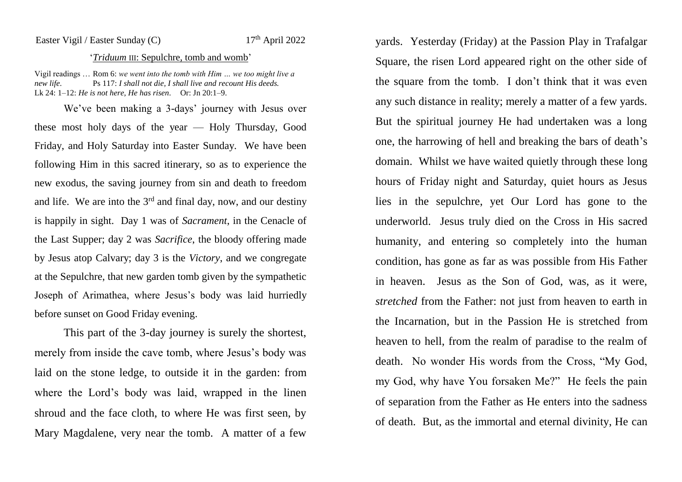## Easter Vigil / Easter Sunday (C)  $17<sup>th</sup>$  April 2022

## '*Triduum* III: Sepulchre, tomb and womb'

Vigil readings … Rom 6: *we went into the tomb with Him … we too might live a new life*. Ps 117: *I shall not die, I shall live and recount His deeds.* Lk 24: 1–12: *He is not here, He has risen*. Or: Jn 20:1–9.

We've been making a 3-days' journey with Jesus over these most holy days of the year — Holy Thursday, Good Friday, and Holy Saturday into Easter Sunday. We have been following Him in this sacred itinerary, so as to experience the new exodus, the saving journey from sin and death to freedom and life. We are into the  $3<sup>rd</sup>$  and final day, now, and our destiny is happily in sight. Day 1 was of *Sacrament*, in the Cenacle of the Last Supper; day 2 was *Sacrifice*, the bloody offering made by Jesus atop Calvary; day 3 is the *Victory*, and we congregate at the Sepulchre, that new garden tomb given by the sympathetic Joseph of Arimathea, where Jesus's body was laid hurriedly before sunset on Good Friday evening.

This part of the 3-day journey is surely the shortest, merely from inside the cave tomb, where Jesus's body was laid on the stone ledge, to outside it in the garden: from where the Lord's body was laid, wrapped in the linen shroud and the face cloth, to where He was first seen, by Mary Magdalene, very near the tomb. A matter of a few

yards. Yesterday (Friday) at the Passion Play in Trafalgar Square, the risen Lord appeared right on the other side of the square from the tomb. I don't think that it was even any such distance in reality; merely a matter of a few yards. But the spiritual journey He had undertaken was a long one, the harrowing of hell and breaking the bars of death's domain. Whilst we have waited quietly through these long hours of Friday night and Saturday, quiet hours as Jesus lies in the sepulchre, yet Our Lord has gone to the underworld. Jesus truly died on the Cross in His sacred humanity, and entering so completely into the human condition, has gone as far as was possible from His Father in heaven. Jesus as the Son of God, was, as it were, *stretched* from the Father: not just from heaven to earth in the Incarnation, but in the Passion He is stretched from heaven to hell, from the realm of paradise to the realm of death. No wonder His words from the Cross, "My God, my God, why have You forsaken Me?" He feels the pain of separation from the Father as He enters into the sadness of death. But, as the immortal and eternal divinity, He can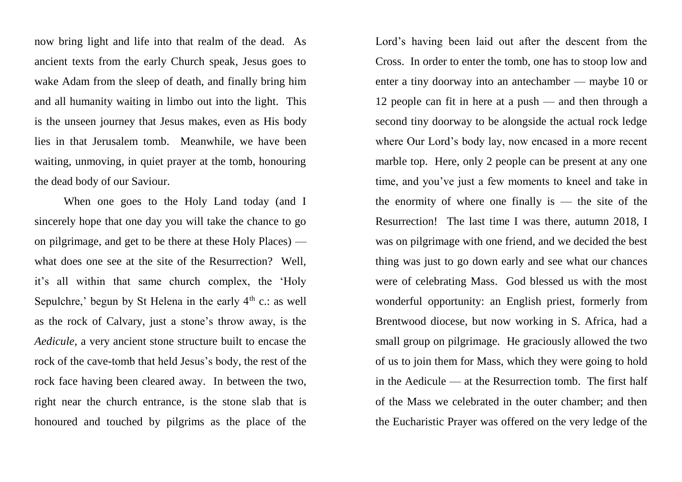now bring light and life into that realm of the dead. As ancient texts from the early Church speak, Jesus goes to wake Adam from the sleep of death, and finally bring him and all humanity waiting in limbo out into the light. This is the unseen journey that Jesus makes, even as His body lies in that Jerusalem tomb. Meanwhile, we have been waiting, unmoving, in quiet prayer at the tomb, honouring the dead body of our Saviour.

When one goes to the Holy Land today (and I sincerely hope that one day you will take the chance to go on pilgrimage, and get to be there at these Holy Places) what does one see at the site of the Resurrection? Well, it's all within that same church complex, the 'Holy Sepulchre,' begun by St Helena in the early  $4<sup>th</sup>$  c.: as well as the rock of Calvary, just a stone's throw away, is the *Aedicule*, a very ancient stone structure built to encase the rock of the cave-tomb that held Jesus's body, the rest of the rock face having been cleared away. In between the two, right near the church entrance, is the stone slab that is honoured and touched by pilgrims as the place of the Lord's having been laid out after the descent from the Cross. In order to enter the tomb, one has to stoop low and enter a tiny doorway into an antechamber — maybe 10 or 12 people can fit in here at a push — and then through a second tiny doorway to be alongside the actual rock ledge where Our Lord's body lay, now encased in a more recent marble top. Here, only 2 people can be present at any one time, and you've just a few moments to kneel and take in the enormity of where one finally is  $-$  the site of the Resurrection! The last time I was there, autumn 2018, I was on pilgrimage with one friend, and we decided the best thing was just to go down early and see what our chances were of celebrating Mass. God blessed us with the most wonderful opportunity: an English priest, formerly from Brentwood diocese, but now working in S. Africa, had a small group on pilgrimage. He graciously allowed the two of us to join them for Mass, which they were going to hold in the Aedicule — at the Resurrection tomb. The first half of the Mass we celebrated in the outer chamber; and then the Eucharistic Prayer was offered on the very ledge of the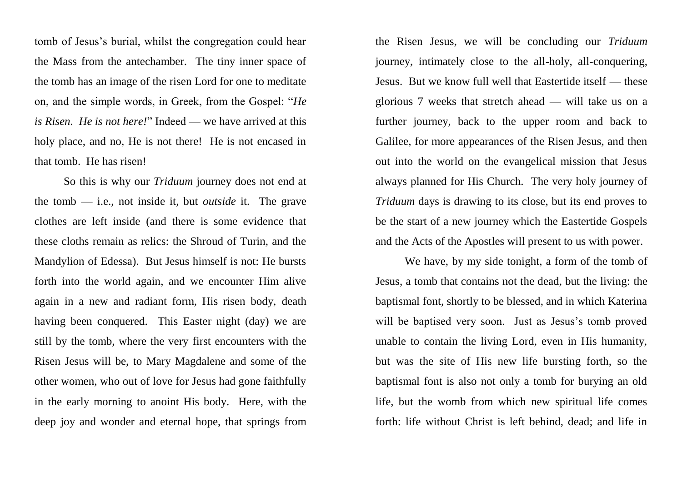tomb of Jesus's burial, whilst the congregation could hear the Mass from the antechamber. The tiny inner space of the tomb has an image of the risen Lord for one to meditate on, and the simple words, in Greek, from the Gospel: "*He is Risen. He is not here!*" Indeed — we have arrived at this holy place, and no, He is not there! He is not encased in that tomb. He has risen!

So this is why our *Triduum* journey does not end at the tomb — i.e., not inside it, but *outside* it. The grave clothes are left inside (and there is some evidence that these cloths remain as relics: the Shroud of Turin, and the Mandylion of Edessa). But Jesus himself is not: He bursts forth into the world again, and we encounter Him alive again in a new and radiant form, His risen body, death having been conquered. This Easter night (day) we are still by the tomb, where the very first encounters with the Risen Jesus will be, to Mary Magdalene and some of the other women, who out of love for Jesus had gone faithfully in the early morning to anoint His body. Here, with the deep joy and wonder and eternal hope, that springs from

the Risen Jesus, we will be concluding our *Triduum* journey, intimately close to the all-holy, all-conquering, Jesus. But we know full well that Eastertide itself — these glorious 7 weeks that stretch ahead — will take us on a further journey, back to the upper room and back to Galilee, for more appearances of the Risen Jesus, and then out into the world on the evangelical mission that Jesus always planned for His Church. The very holy journey of *Triduum* days is drawing to its close, but its end proves to be the start of a new journey which the Eastertide Gospels and the Acts of the Apostles will present to us with power.

We have, by my side tonight, a form of the tomb of Jesus, a tomb that contains not the dead, but the living: the baptismal font, shortly to be blessed, and in which Katerina will be baptised very soon. Just as Jesus's tomb proved unable to contain the living Lord, even in His humanity, but was the site of His new life bursting forth, so the baptismal font is also not only a tomb for burying an old life, but the womb from which new spiritual life comes forth: life without Christ is left behind, dead; and life in